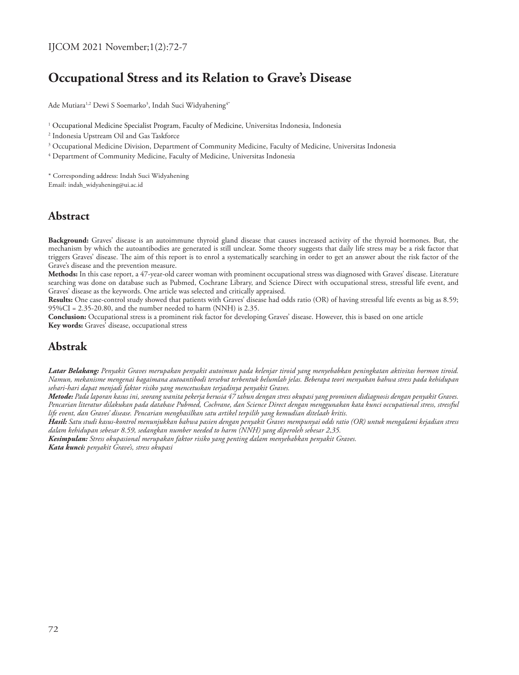# **Occupational Stress and its Relation to Grave's Disease**

Ade Mutiara<sup>1,2</sup> Dewi S Soemarko<sup>3</sup>, Indah Suci Widyahening<sup>4</sup>\*

 $^{\rm 1}$  Occupational Medicine Specialist Program, Faculty of Medicine, Universitas Indonesia, Indonesia

- 2 Indonesia Upstream Oil and Gas Taskforce
- $\rm{^3}$  Occupational Medicine Division, Department of Community Medicine, Faculty of Medicine, Universitas Indonesia
- 4 Department of Community Medicine, Faculty of Medicine, Universitas Indonesia

\* Corresponding address: Indah Suci Widyahening Email: indah\_widyahening@ui.ac.id

### **Abstract**

**Background:** Graves' disease is an autoimmune thyroid gland disease that causes increased activity of the thyroid hormones. But, the mechanism by which the autoantibodies are generated is still unclear. Some theory suggests that daily life stress may be a risk factor that triggers Graves' disease. The aim of this report is to enrol a systematically searching in order to get an answer about the risk factor of the Grave's disease and the prevention measure.

**Methods:** In this case report, a 47-year-old career woman with prominent occupational stress was diagnosed with Graves' disease. Literature searching was done on database such as Pubmed, Cochrane Library, and Science Direct with occupational stress, stressful life event, and Graves' disease as the keywords. One article was selected and critically appraised.

**Results:** One case-control study showed that patients with Graves' disease had odds ratio (OR) of having stressful life events as big as 8.59; 95%CI = 2.35-20.80, and the number needed to harm (NNH) is 2.35.

**Conclusion:** Occupational stress is a prominent risk factor for developing Graves' disease. However, this is based on one article **Key words:** Graves' disease, occupational stress

# **Abstrak**

*Latar Belakang: Penyakit Graves merupakan penyakit autoimun pada kelenjar tiroid yang menyebabkan peningkatan aktivitas hormon tiroid. Namun, mekanisme mengenai bagaimana autoantibodi tersebut terbentuk belumlah jelas. Beberapa teori menyakan bahwa stress pada kehidupan sehari-hari dapat menjadi faktor risiko yang mencetuskan terjadinya penyakit Graves.* 

*Metode: Pada laporan kasus ini, seorang wanita pekerja berusia 47 tahun dengan stress okupasi yang prominen didiagnosis dengan penyakit Graves. Pencarian literatur dilakukan pada database Pubmed, Cochrane, dan Science Direct dengan menggunakan kata kunci occupational stress, stressful life event, dan Graves' disease. Pencarian menghasilkan satu artikel terpilih yang kemudian ditelaah kritis.*

*Hasil: Satu studi kasus-kontrol menunjukkan bahwa pasien dengan penyakit Graves mempunyai odds ratio (OR) untuk mengalami kejadian stress dalam kehidupan sebesar 8.59, sedangkan number needed to harm (NNH) yang diperoleh sebesar 2,35.*

*Kesimpulan: Stress okupasional merupakan faktor risiko yang penting dalam menyebabkan penyakit Graves. Kata kunci: penyakit Grave's, stress okupasi*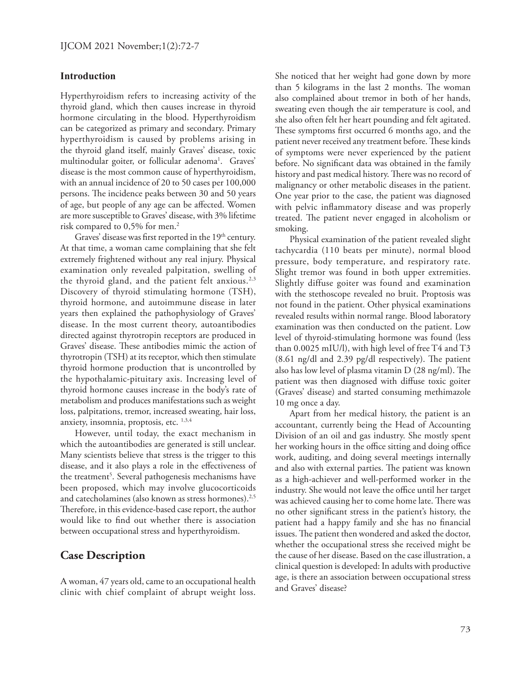#### **Introduction**

Hyperthyroidism refers to increasing activity of the thyroid gland, which then causes increase in thyroid hormone circulating in the blood. Hyperthyroidism can be categorized as primary and secondary. Primary hyperthyroidism is caused by problems arising in the thyroid gland itself, mainly Graves' disease, toxic multinodular goiter, or follicular adenoma<sup>1</sup>. Graves' disease is the most common cause of hyperthyroidism, with an annual incidence of 20 to 50 cases per 100,000 persons. The incidence peaks between 30 and 50 years of age, but people of any age can be affected. Women are more susceptible to Graves' disease, with 3% lifetime risk compared to 0,5% for men.<sup>2</sup>

Graves' disease was first reported in the  $19<sup>th</sup>$  century. At that time, a woman came complaining that she felt extremely frightened without any real injury. Physical examination only revealed palpitation, swelling of the thyroid gland, and the patient felt anxious. $2,3$ Discovery of thyroid stimulating hormone (TSH), thyroid hormone, and autoimmune disease in later years then explained the pathophysiology of Graves' disease. In the most current theory, autoantibodies directed against thyrotropin receptors are produced in Graves' disease. These antibodies mimic the action of thyrotropin (TSH) at its receptor, which then stimulate thyroid hormone production that is uncontrolled by the hypothalamic-pituitary axis. Increasing level of thyroid hormone causes increase in the body's rate of metabolism and produces manifestations such as weight loss, palpitations, tremor, increased sweating, hair loss, anxiety, insomnia, proptosis, etc.  $1,3,4$ 

However, until today, the exact mechanism in which the autoantibodies are generated is still unclear. Many scientists believe that stress is the trigger to this disease, and it also plays a role in the effectiveness of the treatment<sup>5</sup>. Several pathogenesis mechanisms have been proposed, which may involve glucocorticoids and catecholamines (also known as stress hormones).<sup>2,5</sup> Therefore, in this evidence-based case report, the author would like to find out whether there is association between occupational stress and hyperthyroidism.

# **Case Description**

A woman, 47 years old, came to an occupational health clinic with chief complaint of abrupt weight loss.

She noticed that her weight had gone down by more than 5 kilograms in the last 2 months. The woman also complained about tremor in both of her hands, sweating even though the air temperature is cool, and she also often felt her heart pounding and felt agitated. These symptoms first occurred 6 months ago, and the patient never received any treatment before. These kinds of symptoms were never experienced by the patient before. No significant data was obtained in the family history and past medical history. There was no record of malignancy or other metabolic diseases in the patient. One year prior to the case, the patient was diagnosed with pelvic inflammatory disease and was properly treated. The patient never engaged in alcoholism or smoking.

Physical examination of the patient revealed slight tachycardia (110 beats per minute), normal blood pressure, body temperature, and respiratory rate. Slight tremor was found in both upper extremities. Slightly diffuse goiter was found and examination with the stethoscope revealed no bruit. Proptosis was not found in the patient. Other physical examinations revealed results within normal range. Blood laboratory examination was then conducted on the patient. Low level of thyroid-stimulating hormone was found (less than 0.0025 mIU/l), with high level of free T4 and T3 (8.61 ng/dl and 2.39 pg/dl respectively). The patient also has low level of plasma vitamin D (28 ng/ml). The patient was then diagnosed with diffuse toxic goiter (Graves' disease) and started consuming methimazole 10 mg once a day.

Apart from her medical history, the patient is an accountant, currently being the Head of Accounting Division of an oil and gas industry. She mostly spent her working hours in the office sitting and doing office work, auditing, and doing several meetings internally and also with external parties. The patient was known as a high-achiever and well-performed worker in the industry. She would not leave the office until her target was achieved causing her to come home late. There was no other significant stress in the patient's history, the patient had a happy family and she has no financial issues. The patient then wondered and asked the doctor, whether the occupational stress she received might be the cause of her disease. Based on the case illustration, a clinical question is developed: In adults with productive age, is there an association between occupational stress and Graves' disease?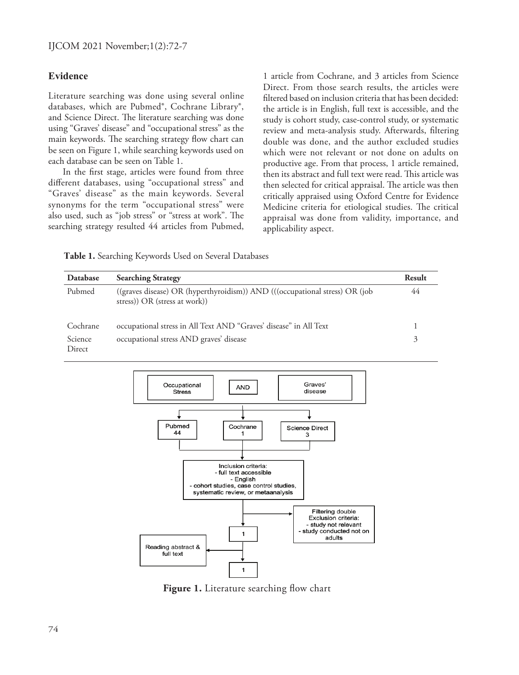### **Evidence**

Literature searching was done using several online databases, which are Pubmed®, Cochrane Library®, and Science Direct. The literature searching was done using "Graves' disease" and "occupational stress" as the main keywords. The searching strategy flow chart can be seen on Figure 1, while searching keywords used on each database can be seen on Table 1.

In the first stage, articles were found from three different databases, using "occupational stress" and "Graves' disease" as the main keywords. Several synonyms for the term "occupational stress" were also used, such as "job stress" or "stress at work". The searching strategy resulted 44 articles from Pubmed, 1 article from Cochrane, and 3 articles from Science Direct. From those search results, the articles were filtered based on inclusion criteria that has been decided: the article is in English, full text is accessible, and the study is cohort study, case-control study, or systematic review and meta-analysis study. Afterwards, filtering double was done, and the author excluded studies which were not relevant or not done on adults on productive age. From that process, 1 article remained, then its abstract and full text were read. This article was then selected for critical appraisal. The article was then critically appraised using Oxford Centre for Evidence Medicine criteria for etiological studies. The critical appraisal was done from validity, importance, and applicability aspect.

**Table 1.** Searching Keywords Used on Several Databases

| Database          | <b>Searching Strategy</b>                                                                                      | Result |
|-------------------|----------------------------------------------------------------------------------------------------------------|--------|
| Pubmed            | ((graves disease) OR (hyperthyroidism)) AND (((occupational stress) OR (job<br>stress)) $OR$ (stress at work)) | 44     |
| Cochrane          | occupational stress in All Text AND "Graves' disease" in All Text                                              |        |
| Science<br>Direct | occupational stress AND graves' disease                                                                        | 3      |



Figure 1. Literature searching flow chart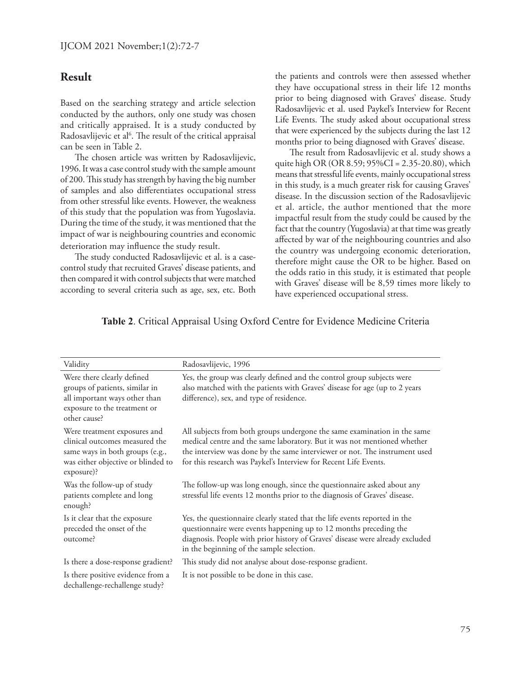### **Result**

Based on the searching strategy and article selection conducted by the authors, only one study was chosen and critically appraised. It is a study conducted by Radosavlijevic et al<sup>6</sup>. The result of the critical appraisal can be seen in Table 2.

The chosen article was written by Radosavlijevic, 1996. It was a case control study with the sample amount of 200. This study has strength by having the big number of samples and also differentiates occupational stress from other stressful like events. However, the weakness of this study that the population was from Yugoslavia. During the time of the study, it was mentioned that the impact of war is neighbouring countries and economic deterioration may influence the study result.

The study conducted Radosavlijevic et al. is a casecontrol study that recruited Graves' disease patients, and then compared it with control subjects that were matched according to several criteria such as age, sex, etc. Both the patients and controls were then assessed whether they have occupational stress in their life 12 months prior to being diagnosed with Graves' disease. Study Radosavlijevic et al. used Paykel's Interview for Recent Life Events. The study asked about occupational stress that were experienced by the subjects during the last 12 months prior to being diagnosed with Graves' disease.

The result from Radosavlijevic et al. study shows a quite high OR (OR 8.59; 95%CI = 2.35-20.80), which means that stressful life events, mainly occupational stress in this study, is a much greater risk for causing Graves' disease. In the discussion section of the Radosavlijevic et al. article, the author mentioned that the more impactful result from the study could be caused by the fact that the country (Yugoslavia) at that time was greatly affected by war of the neighbouring countries and also the country was undergoing economic deterioration, therefore might cause the OR to be higher. Based on the odds ratio in this study, it is estimated that people with Graves' disease will be 8,59 times more likely to have experienced occupational stress.

#### **Table 2**. Critical Appraisal Using Oxford Centre for Evidence Medicine Criteria

| Validity                                                                                                                                              | Radosavlijevic, 1996                                                                                                                                                                                                                                                                                   |
|-------------------------------------------------------------------------------------------------------------------------------------------------------|--------------------------------------------------------------------------------------------------------------------------------------------------------------------------------------------------------------------------------------------------------------------------------------------------------|
| Were there clearly defined<br>groups of patients, similar in<br>all important ways other than<br>exposure to the treatment or<br>other cause?         | Yes, the group was clearly defined and the control group subjects were<br>also matched with the patients with Graves' disease for age (up to 2 years<br>difference), sex, and type of residence.                                                                                                       |
| Were treatment exposures and<br>clinical outcomes measured the<br>same ways in both groups (e.g.,<br>was either objective or blinded to<br>exposure)? | All subjects from both groups undergone the same examination in the same<br>medical centre and the same laboratory. But it was not mentioned whether<br>the interview was done by the same interviewer or not. The instrument used<br>for this research was Paykel's Interview for Recent Life Events. |
| Was the follow-up of study<br>patients complete and long<br>enough?                                                                                   | The follow-up was long enough, since the questionnaire asked about any<br>stressful life events 12 months prior to the diagnosis of Graves' disease.                                                                                                                                                   |
| Is it clear that the exposure<br>preceded the onset of the<br>outcome?                                                                                | Yes, the questionnaire clearly stated that the life events reported in the<br>questionnaire were events happening up to 12 months preceding the<br>diagnosis. People with prior history of Graves' disease were already excluded<br>in the beginning of the sample selection.                          |
| Is there a dose-response gradient?                                                                                                                    | This study did not analyse about dose-response gradient.                                                                                                                                                                                                                                               |
| Is there positive evidence from a<br>dechallenge-rechallenge study?                                                                                   | It is not possible to be done in this case.                                                                                                                                                                                                                                                            |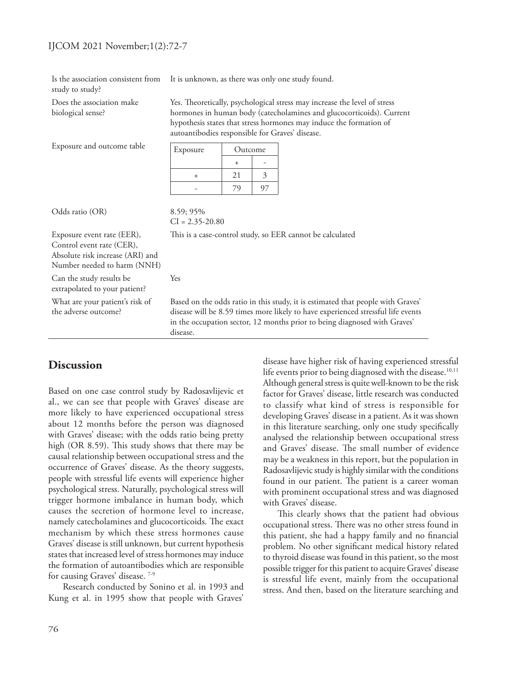#### IJCOM 2021 November;1(2):72-7

Is the association consistent from study to study?

Does the association make biological sense?

It is unknown, as there was only one study found.

Yes. Theoretically, psychological stress may increase the level of stress hormones in human body (catecholamines and glucocorticoids). Current hypothesis states that stress hormones may induce the formation of autoantibodies responsible for Graves' disease.

Exposure and outcome table

| Exposure | Outcome |  |
|----------|---------|--|
|          |         |  |
|          | 21      |  |
|          |         |  |

Odds ratio (OR) 8.59; 95%

 $CI = 2.35 - 20.80$ 

Yes

This is a case-control study, so EER cannot be calculated

Exposure event rate (EER), Control event rate (CER), Absolute risk increase (ARI) and

Number needed to harm (NNH) Can the study results be

extrapolated to your patient? What are your patient's risk of

the adverse outcome?

Based on the odds ratio in this study, it is estimated that people with Graves' disease will be 8.59 times more likely to have experienced stressful life events in the occupation sector, 12 months prior to being diagnosed with Graves' disease.

# **Discussion**

Based on one case control study by Radosavlijevic et al., we can see that people with Graves' disease are more likely to have experienced occupational stress about 12 months before the person was diagnosed with Graves' disease; with the odds ratio being pretty high (OR 8.59). This study shows that there may be causal relationship between occupational stress and the occurrence of Graves' disease. As the theory suggests, people with stressful life events will experience higher psychological stress. Naturally, psychological stress will trigger hormone imbalance in human body, which causes the secretion of hormone level to increase, namely catecholamines and glucocorticoids. The exact mechanism by which these stress hormones cause Graves' disease is still unknown, but current hypothesis states that increased level of stress hormones may induce the formation of autoantibodies which are responsible for causing Graves' disease.<sup>7-9</sup>

Research conducted by Sonino et al. in 1993 and Kung et al. in 1995 show that people with Graves'

disease have higher risk of having experienced stressful life events prior to being diagnosed with the disease.<sup>10,11</sup> Although general stress is quite well-known to be the risk factor for Graves' disease, little research was conducted to classify what kind of stress is responsible for developing Graves' disease in a patient. As it was shown in this literature searching, only one study specifically analysed the relationship between occupational stress and Graves' disease. The small number of evidence may be a weakness in this report, but the population in Radosavlijevic study is highly similar with the conditions found in our patient. The patient is a career woman with prominent occupational stress and was diagnosed with Graves' disease.

This clearly shows that the patient had obvious occupational stress. There was no other stress found in this patient, she had a happy family and no financial problem. No other significant medical history related to thyroid disease was found in this patient, so the most possible trigger for this patient to acquire Graves' disease is stressful life event, mainly from the occupational stress. And then, based on the literature searching and